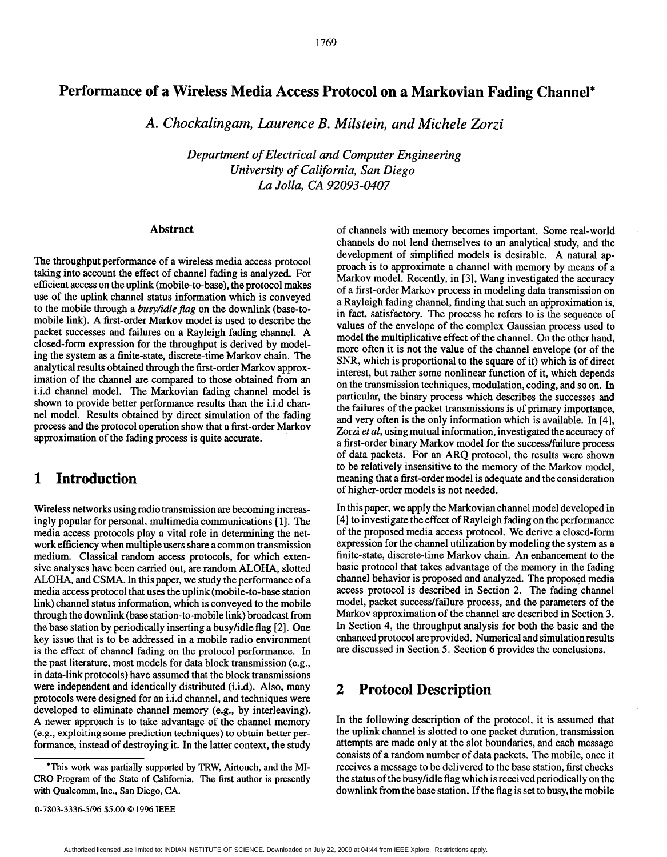### 1769

## **Performance of a Wireless Media Access Protocol on a Markovian Fading Channel\***

**A.** *Chockalingam, Laurence B. Milstein, and Michele Zorzi* 

*Department of Electrical and Computer Engineering University of Califomia, San Diego La Jolla, CA 92093-0407* 

### **Abstract**

The throughput performance of a wireless media access protocol taking into account the effect of channel fading is analyzed. For efficient access on the uplink (mobile-to-base), the protocol makes use of the uplink channel status information which is conveyed to the mobile through a *busy/idle flag* on the downlink (base-tomobile link). A first-order Markov model is used to describe the packet successes and failures on a Rayleigh fading channel. A closed-form expression for the throughput is derived by modeling the system **as** a finite-state, discrete-time Markov chain. The analytical results obtained through the first-order Markov approximation of the channel are compared to those obtained from an i.i.d channel model. The Markovian fading channel model is shown to provide better performance results than the i.i.d channel model. Results obtained by direct simulation of the fading process and the protocol operation show that a first-order Markov approximation of the fading process is quite accurate.

# **1 Introduction**

Wireless networks using radio transmission are becoming increasingly popular for personal, multimedia communications [ **11.** The media access protocols play a vital role in determining the network efficiency when multiple users share a common transmission medium. Classical random access protocols, for which extensive analyses have been carried out, are random ALOHA, slotted ALOHA, and CSMA. In this paper, we study the performance of a media access protocol that uses the uplink (mobile-to-base station link) channel status information, which is conveyed to the mobile through the downlink (base station-to-mobile link) broadcast from the base station by periodically inserting a busyhdle flag [2]. One key issue that is to be addressed in a mobile radio environment is the effect of channel fading on the protocol performance. In the past literature, most models for data block transmission (e.g., in data-link protocols) have assumed that the block transmissions were independent and identically distributed (i.i.d). Also, many protocols were designed for an i.i.d channel, and techniques were developed to eliminate channel memory (e.g., by interleaving). A newer approach is to take advantage of the channel memory (e.g., exploiting **some** prediction techniques) to obtain better performance, instead of destroying it. In the latter context, the study

of channels with memory becomes important. Some real-world channels do not lend themselves to an analytical study, and the development of simplified models is desirable. A natural approach is to approximate a channel with memory by means of a Markov model. Recently, in **[3],** Wang investigated the accuracy of a first-order Markov process in modeling data transmission on a Rayleigh fading channel, finding that such an approximation is, in fact, satisfactory. The process he refers to is the sequence of values of the envelope of the complex Gaussian process used to model the multiplicative effect of the channel. On the other hand, more often it is not the value of the channel envelope (or of the SNR, which is proportional to the square of it) which is of direct interest, but rather some nonlinear function of it, which depends on the transmission techniques, modulation, coding, and so on. In particular, the binary process which describes the successes and the failures of the packet transmissions is of primary importance, and very often is the only information which is available. In **[4],**  Zorzi *ef al,* using mutual information, investigated the accuracy of a first-order binary Markov model for the success/failure process of data packets. For an ARQ protocol, the results were shown to be relatively insensitive to the memory of the Markov model, meaning that a first-order model is adequate and the consideration of higher-order models is not needed.

In this paper, we apply the Markovian channel model developed in **[4]** to investigate the effect of Rayleigh fading on the performance of the proposed media access protocol. We derive a closed-form expression for the channel utilization by modeling the system **as** a finite-state, discrete-time Markov chain. An enhancement to the basic protocol that takes advantage of the memory in the fading channel behavior is proposed and analyzed. The proposed media access protocol is described in Section 2. The fading channel model, packet success/failure process, and the parameters of the Markov approximation of the channel are described in Section **3.**  In Section **4,** the throughput analysis for both the basic and the enhanced protocol are provided. Numerical and simulation results are discussed in Section *5.* Section 6 provides the conclusions.

## **2 Protocol Description**

In the following description of the protocol, it is assumed that **the** uplink channel is slotted to **one** packet duration, transmission attempts are made only at the slot boundaries, and each message consists of a random number of data packets. The mobile, once it receives a message to be delivered to the base station, first checks the status of the busy/idle flag which is received periodically on the downlink from the base station. If the flag is set to busy, the mobile

<sup>&#</sup>x27;This work was partially supported by TRW, Airtouch, and the MI-CRO Program of the State of Califomia. The first author is presently with Qualcomm, Inc., San Diego, CA.

Authorized licensed use limited to: INDIAN INSTITUTE OF SCIENCE. Downloaded on July 22, 2009 at 04:44 from IEEE Xplore. Restrictions apply.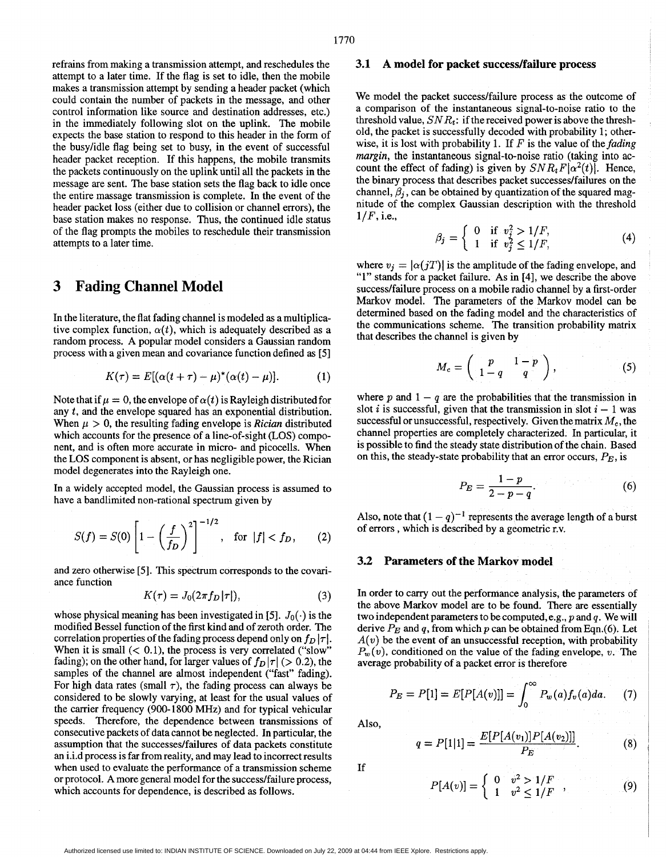refrains from making a transmission attempt, and reschedules the attempt to a later time. If the flag is set to idle, then the mobile makes a transmission attempt by sending a header packet (which could contain the number of packets in the message, and other control information like source and destination addresses, etc.) in the immediately following slot on the uplink. The mobile expects the base station to respond to this header in the form of the busylidle flag being set to busy, in the event of successful header packet reception. If this happens, the mobile transmits the packets continuously on the uplink until all the packets in the message are sent. The base station sets the flag back to idle once the entire massage transmission is complete. In the event of the header packet loss (either due to collision or channel errors), the base station makes no response. Thus, the continued idle status of the flag prompts the mobiles to reschedule their transmission attempts to a later time.

# **3 Fading Channel Model**

In the literature, the flat fading channel is modeled **as** a multiplicative complex function,  $\alpha(t)$ , which is adequately described as a random process. **A** popular model considers a Gaussian random process with a given mean and covariance function defined **as** [5]

$$
K(\tau) = E[(\alpha(t+\tau) - \mu)^*(\alpha(t) - \mu)].
$$
 (1)

Note that if  $\mu = 0$ , the envelope of  $\alpha(t)$  is Rayleigh distributed for any *t,* and the envelope squared has an exponential distribution. When  $\mu > 0$ , the resulting fading envelope is *Rician* distributed which accounts for the presence of a line-of-sight (LOS) component, and is often more accurate in micro- and picocells. When the LOS component is absent, or has negligible power, the Rician model degenerates into the Rayleigh one.

In a widely accepted model, the Gaussian process is assumed to have a bandlimited non-rational spectrum given by

$$
S(f) = S(0) \left[ 1 - \left(\frac{f}{f_D}\right)^2 \right]^{-1/2}, \text{ for } |f| < f_D, \qquad (2)
$$

and zero otherwise [5]. This spectrum corresponds to the covariance function

$$
K(\tau) = J_0(2\pi f_D|\tau|),\tag{3}
$$

whose physical meaning has been investigated in [5].  $J_0(\cdot)$  is the modified Bessel function of the first kind and of zeroth order. The correlation properties of the fading process depend only on  $f_D | \tau |$ . When it is small  $(< 0.1$ ), the process is very correlated ("slow" fading); on the other hand, for larger values of  $f<sub>D</sub> |\tau|$  (> 0.2), the samples of the channel are almost independent ("fast" fading). For high data rates (small  $\tau$ ), the fading process can always be considered to be slowly varying, at least for the usual values of the carrier frequency (900-1800 MHz) and for typical vehicular speeds. Therefore, the dependence between transmissions of consecutive packets of data cannot be neglected. In particular, the assumption that the successes/failures of data packets constitute an i.i.d process is far from reality, and may lead to incorrect results when used to evaluate the performance of a transmission scheme or protocol. **A** more general model for the success/failure process, which accounts for dependence, is described **as** follows.

#### **3.1 A model for packet success/failure process**

We model the packet success/failure process as the outcome of a comparison of the instantaneous signal-to-noise ratio to the threshold value,  $SNR_t$ : if the received power is above the threshold, the packet is successfully decoded with probability *1;* otherwise, it is lost with probability 1. If  $F$  is the value of the *fading margin,* the instantaneous signal-to-noise ratio (taking into account the effect of fading) is given by  $SNR_tF[\alpha^2(t)]$ . Hence, the binary process that describes packet successes/failures on the channel,  $\beta_i$ , can be obtained by quantization of the squared magnitude of the complex Gaussian description with the threshold  $1/F$ , i.e.,

$$
\beta_j = \left\{ \begin{array}{ll} 0 & \text{if } v_j^2 > 1/F, \\ 1 & \text{if } v_j^2 \le 1/F, \end{array} \right. \tag{4}
$$

where  $v_i = |\alpha(jT)|$  is the amplitude of the fading envelope, and "1" stands for a packet failure. **As** in [4], we describe the above success/failure process on a mobile radio channel by a first-order Markov model. The parameters of the Markov model can be determined based on the fading model and the characteristics of the communications scheme. The transition probability matrix that describes the channel is given by

$$
M_c = \left(\begin{array}{cc} p & 1-p \\ 1-q & q \end{array}\right),\tag{5}
$$

where  $p$  and  $1 - q$  are the probabilities that the transmission in slot *i* is successful, given that the transmission in slot  $i - 1$  was successful or unsuccessful, respectively. Given the matrix  $M_c$ , the channel properties are completely characterized. In particular, it is possible to find the steady state distribution of the chain. **Based**  on this, the steady-state probability that an error occurs,  $P_E$ , is

$$
P_E = \frac{1-p}{2-p-q}.\tag{6}
$$

Also, note that  $(1 - q)^{-1}$  represents the average length of a burst of errors, which is described by a geometric r.v.

### **3.2 Parameters of the Markov model**

In order to carry out the performance analysis, the parameters of the above Markov model are to be found. There are essentially two independent parameters to be computed, e.g., *p* and *q.* We will derive *PE* and *q,* from which *p* can be obtained from Eqn.(6). Let  $A(v)$  be the event of an unsuccessful reception, with probability  $P_w(v)$ , conditioned on the value of the fading envelope, v. The average probability of a packet error is therefore

$$
P_E = P[1] = E[P[A(v)]] = \int_0^\infty P_w(a) f_v(a) da. \quad (7)
$$

**Also,** 

$$
q = P[1|1] = \frac{E[P[A(v_1)]P[A(v_2)]]}{P_E}.
$$
 (8)

If

$$
P[A(v)] = \begin{cases} 0 & v^2 > 1/F \\ 1 & v^2 \le 1/F \end{cases}, \qquad (9)
$$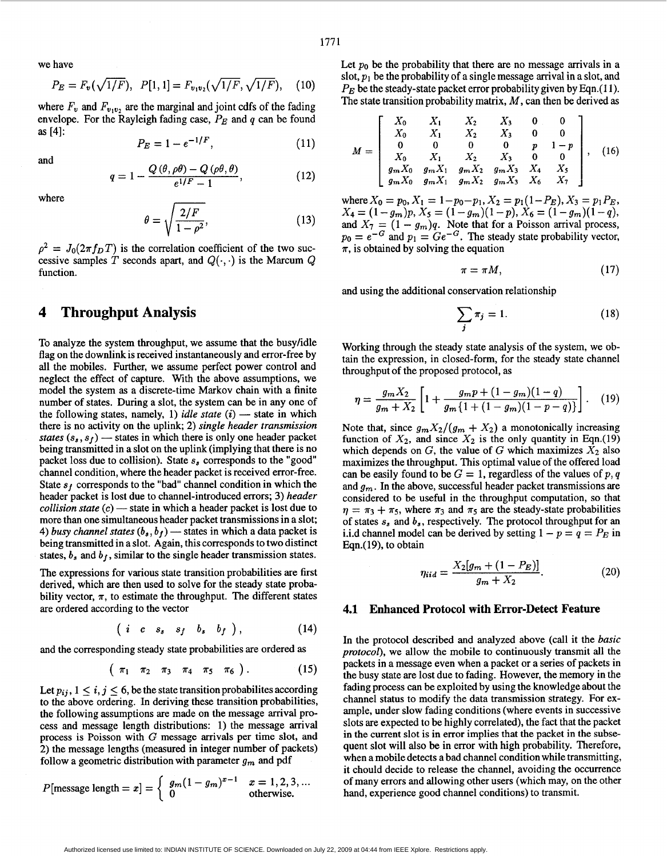we have

$$
P_E = F_v(\sqrt{1/F}), \quad P[1,1] = F_{v_1v_2}(\sqrt{1/F}, \sqrt{1/F}), \quad (10)
$$

where  $F_v$  and  $F_{v_1v_2}$  are the marginal and joint cdfs of the fading envelope. For the Rayleigh fading case,  $P_E$  and  $q$  can be found **as [4]:** 

$$
P_E = 1 - e^{-1/F}, \t\t(11)
$$

and

$$
q = 1 - \frac{Q(\theta, \rho\theta) - Q(\rho\theta, \theta)}{e^{1/F} - 1},
$$
\n(12)

where

$$
\theta = \sqrt{\frac{2/F}{1 - \rho^2}},\tag{13}
$$

 $\rho^2 = J_0(2\pi f_D T)$  is the correlation coefficient of the two successive samples T seconds apart, and  $Q(\cdot, \cdot)$  is the Marcum  $Q$ function.

### **4 Throughput Analysis**

To analyze the system throughput, we assume that the busyhdle flag on the downlink is received instantaneously and error-free by all the mobiles. Further, we assume perfect power control and neglect the effect of capture. With the above assumptions, we model the system as a discrete-time Markov chain with a finite number of states. During a slot, the system can be in any one of the following states, namely, 1) *idle state* (*i*) — state in which there is no ostituity on number of states. During a slot, the system can be in any one of there is no activity on the uplink; 2) *single header transmission*  the following states, namely, 1) *idle state* (*i*) — state in which there is no activity on the uplink; 2) *single header transmission states*  $(s_s, s_f)$  — states in which there is only one header packet being transmitted in a slot on the uplink (implying that there is no packet loss due to collision). State **s,** corresponds to the "good" channel condition, where the header packet is received error-free. State  $s_f$  corresponds to the "bad" channel condition in which the header packet is lost due to channel-introduced errors; 3) *header collision state* (c) — state in which a header packet is lost due to header packet is lost due to channel-introduced errors; **3)** *header*  more than one simultaneous header packet transmissions in a slot; *collision state* (*c*) — state in which a header packet is lost due to more than one simultaneous header packet transmissions in a slot; 4) *busy channel states* ( $b_s$ ,  $b_f$ ) — states in which a data packet is being transmitted in a slot. Again, this corresponds to two distinct states,  $b_s$  and  $b_f$ , similar to the single header transmission states.

The expressions for various state transition probabilities are first derived, which are then used to solve for the steady state probability vector,  $\pi$ , to estimate the throughput. The different states are ordered according to the vector

$$
(i \ c \ s_s \ s_f \ b_s \ b_f), \qquad (14)
$$

and the corresponding steady state probabilities are ordered **as** 

$$
(\pi_1 \ \pi_2 \ \pi_3 \ \pi_4 \ \pi_5 \ \pi_6).
$$
 (15)

Let  $p_{ij}$ ,  $1 \le i, j \le 6$ , be the state transition probabilites according to the above ordering. In deriving these transition probabilities, the following assumptions are made on the message arrival process and message length distributions: **1)** the message arrival process is Poisson with G message arrivals per time slot, and 2) the message lengths (measured in integer number of packets) follow a geometric distribution with parameter  $g_m$  and pdf

$$
P[\text{message length} = x] = \begin{cases} g_m(1 - g_m)^{x-1} & x = 1, 2, 3, \dots \\ 0 & \text{otherwise.} \end{cases}
$$

Let  $p_0$  be the probability that there are no message arrivals in a slot,  $p_1$  be the probability of a single message arrival in a slot, and  $P_E$  be the steady-state packet error probability given by Eqn.(11). The state transition probability matrix, M, can then be derived **as** 

$$
M = \begin{bmatrix} X_0 & X_1 & X_2 & X_3 & 0 & 0 \\ X_0 & X_1 & X_2 & X_3 & 0 & 0 \\ 0 & 0 & 0 & 0 & p & 1-p \\ X_0 & X_1 & X_2 & X_3 & 0 & 0 \\ g_m X_0 & g_m X_1 & g_m X_2 & g_m X_3 & X_4 & X_5 \\ g_m X_0 & g_m X_1 & g_m X_2 & g_m X_3 & X_6 & X_7 \end{bmatrix},
$$
(16)

where  $X_0 = p_0, X_1 = 1-p_0-p_1, X_2 = p_1(1-P_E), X_3 = p_1P_E,$  $X_4 = (1 - g_m)p$ ,  $X_5 = (1 - g_m)(1 - p)$ ,  $X_6 = (1 - g_m)(1 - q)$ ,<br>and  $X_7 = (1 - g_m)q$ . Note that for a Poisson arrival process,  $p_0 = e^{-G}$  and  $p_1 = Ge^{-G}$ . The steady state probability vector,  $\pi$ , is obtained by solving the equation  $X_4 = (1 - g_m)p, X_5 = (1 - g_m)(1 - p), X_6 = (1 - g_m)(1 - q),$ 

$$
\pi = \pi M, \tag{17}
$$

and using the additional conservation relationship

$$
\sum_{j} \pi_{j} = 1. \tag{18}
$$

Working through the steady state analysis of the system, we obtain the expression, in closed-form, for the steady state channel throughput of the proposed protocol, **as** 

$$
\eta = \frac{g_m X_2}{g_m + X_2} \left[ 1 + \frac{g_m p + (1 - g_m)(1 - q)}{g_m \{1 + (1 - g_m)(1 - p - q)\}} \right]. \tag{19}
$$

Note that, since  $g_m X_2/(g_m + X_2)$  a monotonically increasing function of  $X_2$ , and since  $X_2$  is the only quantity in Eqn.(19) which depends on  $G$ , the value of  $G$  which maximizes  $\bar{X}_2$  also maximizes the throughput. This optimal value of the offered load can be easily found to be  $G = 1$ , regardless of the values of  $p, q$ and  $g_m$ . In the above, successful header packet transmissions are considered to be useful in the throughput computation, so that  $\eta = \pi_3 + \pi_5$ , where  $\pi_3$  and  $\pi_5$  are the steady-state probabilities of states **s,** and b,, respectively. The protocol throughput for an i.i.d channel model can be derived by setting  $1 - p = q = P_E$  in Eqn.( **19),** to obtain

$$
\eta_{iid} = \frac{X_2[g_m + (1 - P_E)]}{g_m + X_2}.
$$
\n(20)

### **4.1 Enhanced Protocol with Error-Detect Feature**

In the protocol described and analyzed above (call it the *basic protocol),* we allow the mobile to continuously transmit all the packets in a message even when a packet or a series of packets in the busy state are lost due to fading. However, the memory in the fading process can be exploited by using the knowledge about the channel status to modify the data transmission strategy. For example, under slow fading conditions (where events in successive slots are expected to be highly correlated), the fact that the packet in the current slot is in error implies that the packet in the subsequent slot will also be in error with high probability. Therefore, when a mobile detects a bad channel condition while transmitting, it chould decide to release the channel, avoiding the occurrence of many errors and allowing other users (which may, on the other hand, experience good channel conditions) to transmit.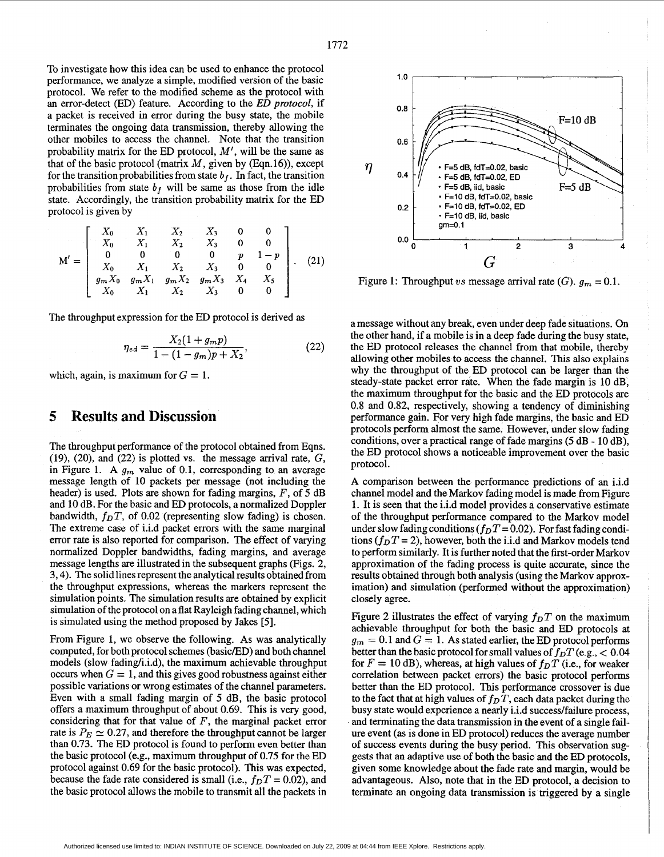To investigate how this idea can be used to enhance the protocol performance, we analyze a simple, modified version of the basic protocol. We refer to the modified scheme **as** the protocol with an error-detect (ED) feature. According to the *ED protocol,* if a packet is received in error during the busy state, the mobile terminates the ongoing data transmission, thereby allowing the other mobiles to access the channel. Note that the transition probability matrix for the ED protocol, *M',* will be the same **as**  that of the basic protocol (matrix  $M$ , given by (Eqn.16)), except for the transition probabilities from state  $b_f$ . In fact, the transition probabilities from state  $b_f$  will be same as those from the idle state. Accordingly, the transition probability matrix for the ED protocol is given by

$$
\mathbf{M}' = \left[ \begin{array}{ccccc} X_0 & X_1 & X_2 & X_3 & 0 & 0 \\ X_0 & X_1 & X_2 & X_3 & 0 & 0 \\ 0 & 0 & 0 & 0 & p & 1-p \\ X_0 & X_1 & X_2 & X_3 & 0 & 0 \\ g_m X_0 & g_m X_1 & g_m X_2 & g_m X_3 & X_4 & X_5 \\ X_0 & X_1 & X_2 & X_3 & 0 & 0 \end{array} \right].
$$
 (21)

The throughput expression for the ED protocol is derived **as** 

$$
\eta_{ed} = \frac{X_2(1+g_m p)}{1-(1-g_m)p+X_2},\tag{22}
$$

which, again, is maximum for  $G = 1$ .

## **5 Results and Discussion**

The throughput performance of the protocol obtained from Eqns. (19), (20), and *(22)* is plotted vs. the message arrival rate, G, in Figure 1. A  $g_m$  value of 0.1, corresponding to an average message length of 10 packets per message (not including the header) is used. Plots are shown for fading margins, *F,* of 5 dB and 10 dB. For the basic and ED protocols, a normalized Doppler bandwidth,  $f_D T$ , of 0.02 (representing slow fading) is chosen. The extreme case of i.i.d packet errors with the same marginal error rate is also reported for comparison. The effect of varying normalized Doppler bandwidths, fading margins, and average message lengths are illustrated in the subsequent graphs (Figs. *2,*  **3,4).** The solid lines represent the analytical results obtained from the throughput expressions, whereas the markers represent the simulation points. The simulation results are obtained by explicit simulation of the protocol on a flat Rayleigh fading channel, which is simulated using the method proposed by Jakes **[5].** 

From Figure 1, we observe the following. As was analytically computed, for both protocol schemes (basicED) and both channel models (slow fading/i.i.d), the maximum achievable throughput occurs when  $G = 1$ , and this gives good robustness against either possible variations or wrong estimates of the channel parameters. Even with a small fading margin of 5 dB, the basic protocol offers a maximum throughput of about 0.69. This is very good, considering that for that value of *F,* the marginal packet error rate is  $P_E \simeq 0.27$ , and therefore the throughput cannot be larger than 0.73. The ED protocol is found to perform even better than the basic protocol (e.g., maximum throughput of 0.75 for the ED protocol against 0.69 for the basic protocol). This was expected, because the fade rate considered is small (i.e.,  $f<sub>D</sub>T = 0.02$ ), and the basic protocol allows the mobile to transmit all the packets in



Figure 1: Throughput vs message arrival rate (G).  $g_m = 0.1$ .

a message without any break, even under deep fade situations. On the other hand, if a mobile is in a deep fade during the busy state, the ED protocol releases the channel from that mobile, thereby allowing other mobiles to access the channel. This also explains why the throughput of the ED protocol can be larger than the steady-state packet error rate. When the fade margin is 10 dB, the maximum throughput for the basic and the ED protocols are 0.8 and 0.82, respectively, showing a tendency of diminishing performance gain. For very high fade margins, the basic and ED protocols perform almost the same. However, under slow fading conditions, over a practical range of fade margins *(5* dB - 10 dB), the ED protocol shows a noticeable improvement over the basic protocol.

**A** comparison between the performance predictions of an i.i.d channel model and the Markov fading model is made from Figure 1. It is seen that the i.i.d model provides a conservative estimate of the throughput performance compared to the Markov model under slow fading conditions  $(f_D T = 0.02)$ . For fast fading conditions  $(f<sub>D</sub>T = 2)$ , however, both the i.i.d and Markov models tend to perform similarly. It is further noted that the first-order Markov approximation of the fading process is quite accurate, since the results obtained through both analysis (using the Markov approximation) and simulation (performed without the approximation) closely agree.

Figure 2 illustrates the effect of varying  $f_D T$  on the maximum achievable throughput for both the basic and ED protocols at  $g_m = 0.1$  and  $G = 1$ . As stated earlier, the ED protocol performs better than the basic protocol for small values of  $f_D T$  (e.g.,  $< 0.04$ ) for  $F = 10$  dB), whereas, at high values of  $f_D T$  (i.e., for weaker correlation between packet errors) the basic protocol performs better than the ED protocol. This performance crossover is due to the fact that at high values of  $f_D T$ , each data packet during the busy state would experience a nearly i.i.d successlfailure process, and terminating the data transmission in the event of a single failure event **(as** is done in ED protocol) reduces the average number of success events during the busy period. This observation suggests that an adaptive use of both the basic and the ED protocols, given some knowledge about the fade rate and margin, would be advantageous. Also, note that in the ED protocol, a decision to terminate an ongoing data transmission is triggered by a single